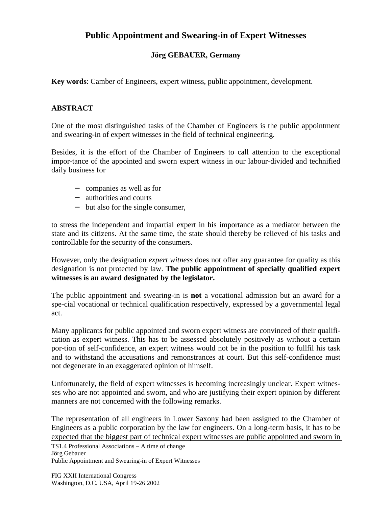## **Public Appointment and Swearing-in of Expert Witnesses**

## **Jörg GEBAUER, Germany**

**Key words**: Camber of Engineers, expert witness, public appointment, development.

## **ABSTRACT**

One of the most distinguished tasks of the Chamber of Engineers is the public appointment and swearing-in of expert witnesses in the field of technical engineering.

Besides, it is the effort of the Chamber of Engineers to call attention to the exceptional impor-tance of the appointed and sworn expert witness in our labour-divided and technified daily business for

- − companies as well as for
- − authorities and courts
- − but also for the single consumer,

to stress the independent and impartial expert in his importance as a mediator between the state and its citizens. At the same time, the state should thereby be relieved of his tasks and controllable for the security of the consumers.

However, only the designation *expert witness* does not offer any guarantee for quality as this designation is not protected by law. **The public appointment of specially qualified expert witnesses is an award designated by the legislator.**

The public appointment and swearing-in is **not** a vocational admission but an award for a spe-cial vocational or technical qualification respectively, expressed by a governmental legal act.

Many applicants for public appointed and sworn expert witness are convinced of their qualification as expert witness. This has to be assessed absolutely positively as without a certain por-tion of self-confidence, an expert witness would not be in the position to fullfil his task and to withstand the accusations and remonstrances at court. But this self-confidence must not degenerate in an exaggerated opinion of himself.

Unfortunately, the field of expert witnesses is becoming increasingly unclear. Expert witnesses who are not appointed and sworn, and who are justifying their expert opinion by different manners are not concerned with the following remarks.

The representation of all engineers in Lower Saxony had been assigned to the Chamber of Engineers as a public corporation by the law for engineers. On a long-term basis, it has to be expected that the biggest part of technical expert witnesses are public appointed and sworn in

TS1.4 Professional Associations – A time of change Jörg Gebauer

Public Appointment and Swearing-in of Expert Witnesses